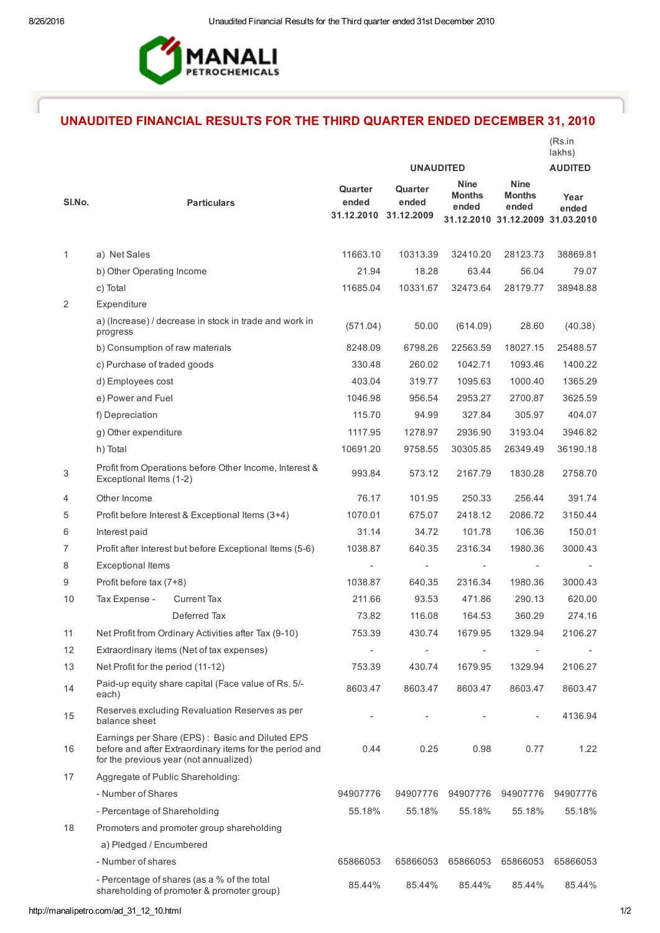

## UNAUDITED FINANCIAL RESULTS FOR THE THIRD QUARTER ENDED DECEMBER 31, 2010

|        |                                                                                                                                                      |                                           |                  |                                       |                                                                           | (Rs.in<br>lakhs) |
|--------|------------------------------------------------------------------------------------------------------------------------------------------------------|-------------------------------------------|------------------|---------------------------------------|---------------------------------------------------------------------------|------------------|
|        |                                                                                                                                                      |                                           | <b>UNAUDITED</b> |                                       |                                                                           | <b>AUDITED</b>   |
| SI.No. | <b>Particulars</b>                                                                                                                                   | Quarter<br>ended<br>31.12.2010 31.12.2009 | Quarter<br>ended | <b>Nine</b><br><b>Months</b><br>ended | <b>Nine</b><br><b>Months</b><br>ended<br>31.12.2010 31.12.2009 31.03.2010 | Year<br>ended    |
| 1      | a) Net Sales                                                                                                                                         | 11663.10                                  | 10313.39         | 32410.20                              | 28123.73                                                                  | 38869.81         |
|        | b) Other Operating Income                                                                                                                            | 21.94                                     | 18.28            | 63.44                                 | 56.04                                                                     | 79.07            |
|        | c) Total                                                                                                                                             | 11685.04                                  | 10331.67         | 32473.64                              | 28179.77                                                                  | 38948.88         |
| 2      | Expenditure                                                                                                                                          |                                           |                  |                                       |                                                                           |                  |
|        | a) (Increase) / decrease in stock in trade and work in<br>progress                                                                                   | (571.04)                                  | 50.00            | (614.09)                              | 28.60                                                                     | (40.38)          |
|        | b) Consumption of raw materials                                                                                                                      | 8248.09                                   | 6798.26          | 22563.59                              | 18027.15                                                                  | 25488.57         |
|        | c) Purchase of traded goods                                                                                                                          | 330.48                                    | 260.02           | 1042.71                               | 1093.46                                                                   | 1400.22          |
|        | d) Employees cost                                                                                                                                    | 403.04                                    | 319.77           | 1095.63                               | 1000.40                                                                   | 1365.29          |
|        | e) Power and Fuel                                                                                                                                    | 1046.98                                   | 956.54           | 2953.27                               | 2700.87                                                                   | 3625.59          |
|        | f) Depreciation                                                                                                                                      | 115.70                                    | 94.99            | 327.84                                | 305.97                                                                    | 404.07           |
|        | g) Other expenditure                                                                                                                                 | 1117.95                                   | 1278.97          | 2936.90                               | 3193.04                                                                   | 3946.82          |
|        | h) Total                                                                                                                                             | 10691.20                                  | 9758.55          | 30305.85                              | 26349.49                                                                  | 36190.18         |
| 3      | Profit from Operations before Other Income, Interest &<br>Exceptional Items (1-2)                                                                    | 993.84                                    | 573.12           | 2167.79                               | 1830.28                                                                   | 2758.70          |
| 4      | Other Income                                                                                                                                         | 76.17                                     | 101.95           | 250.33                                | 256.44                                                                    | 391.74           |
| 5      | Profit before Interest & Exceptional Items (3+4)                                                                                                     | 1070.01                                   | 675.07           | 2418.12                               | 2086.72                                                                   | 3150.44          |
| 6      | Interest paid                                                                                                                                        | 31.14                                     | 34.72            | 101.78                                | 106.36                                                                    | 150.01           |
| 7      | Profit after Interest but before Exceptional Items (5-6)                                                                                             | 1038.87                                   | 640.35           | 2316.34                               | 1980.36                                                                   | 3000.43          |
| 8      | <b>Exceptional Items</b>                                                                                                                             |                                           |                  |                                       |                                                                           |                  |
| 9      | Profit before tax (7+8)                                                                                                                              | 1038.87                                   | 640.35           | 2316.34                               | 1980.36                                                                   | 3000.43          |
| 10     | Tax Expense -<br><b>Current Tax</b>                                                                                                                  | 211.66                                    | 93.53            | 471.86                                | 290.13                                                                    | 620.00           |
|        | Deferred Tax                                                                                                                                         | 73.82                                     | 116.08           | 164.53                                | 360.29                                                                    | 274.16           |
| 11     | Net Profit from Ordinary Activities after Tax (9-10)                                                                                                 | 753.39                                    | 430.74           | 1679.95                               | 1329.94                                                                   | 2106.27          |
| 12     | Extraordinary items (Net of tax expenses)                                                                                                            |                                           |                  |                                       |                                                                           |                  |
| 13     | Net Profit for the period (11-12)                                                                                                                    | 753.39                                    | 430.74           | 1679.95                               | 1329.94                                                                   | 2106.27          |
| 14     | Paid-up equity share capital (Face value of Rs. 5/-<br>each)                                                                                         | 8603.47                                   | 8603.47          | 8603.47                               | 8603.47                                                                   | 8603.47          |
| 15     | Reserves excluding Revaluation Reserves as per<br>balance sheet                                                                                      |                                           |                  |                                       |                                                                           | 4136.94          |
| 16     | Earnings per Share (EPS): Basic and Diluted EPS<br>before and after Extraordinary items for the period and<br>for the previous year (not annualized) | 0.44                                      | 0.25             | 0.98                                  | 0.77                                                                      | 1.22             |
| 17     | Aggregate of Public Shareholding:                                                                                                                    |                                           |                  |                                       |                                                                           |                  |
|        | - Number of Shares                                                                                                                                   | 94907776                                  | 94907776         | 94907776                              | 94907776                                                                  | 94907776         |
|        | - Percentage of Shareholding                                                                                                                         | 55.18%                                    | 55.18%           | 55.18%                                | 55.18%                                                                    | 55.18%           |
| 18     | Promoters and promoter group shareholding                                                                                                            |                                           |                  |                                       |                                                                           |                  |
|        | a) Pledged / Encumbered                                                                                                                              |                                           |                  |                                       |                                                                           |                  |
|        | - Number of shares                                                                                                                                   | 65866053                                  | 65866053         | 65866053                              | 65866053                                                                  | 65866053         |
|        | - Percentage of shares (as a % of the total<br>shareholding of promoter & promoter group)                                                            | 85.44%                                    | 85.44%           | 85.44%                                | 85.44%                                                                    | 85.44%           |